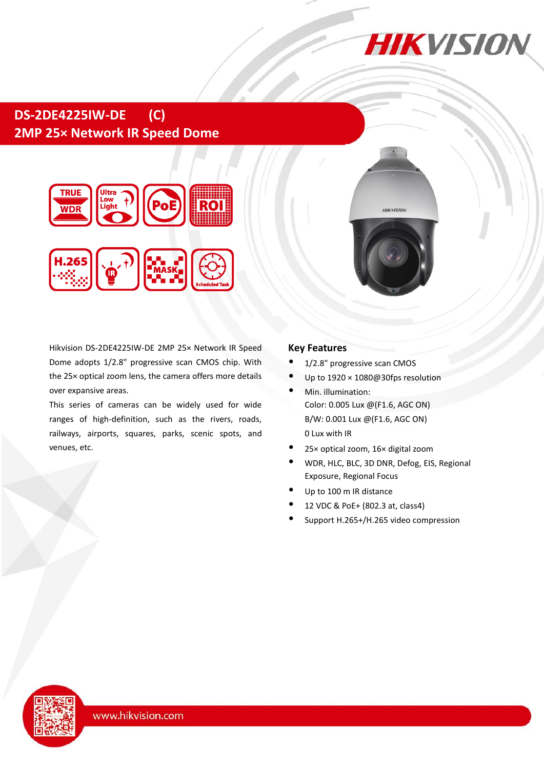

# **DS-2DE4225IW-DE (C) 2MP 25× Network IR Speed Dome**



Hikvision DS-2DE4225IW-DE 2MP 25× Network IR Speed Dome adopts 1/2.8" progressive scan CMOS chip. With the 25× optical zoom lens, the camera offers more details over expansive areas.

This series of cameras can be widely used for wide ranges of high-definition, such as the rivers, roads, railways, airports, squares, parks, scenic spots, and venues, etc.

#### **Key Features**

- 1/2.8" progressive scan CMOS
- Up to 1920 × 1080@30fps resolution

**HIKVISION** 

- Min. illumination: Color: 0.005 Lux @(F1.6, AGC ON) B/W: 0.001 Lux @(F1.6, AGC ON) 0 Lux with IR
- 25× optical zoom, 16× digital zoom
- WDR, HLC, BLC, 3D DNR, Defog, EIS, Regional Exposure, Regional Focus
- Up to 100 m IR distance
- 12 VDC & PoE+ (802.3 at, class4)
- Support H.265+/H.265 video compression

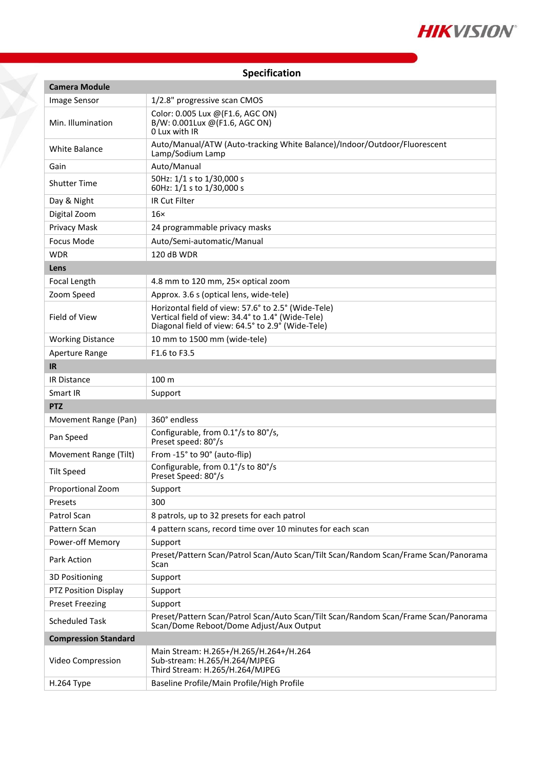

| Specification |  |  |
|---------------|--|--|
|               |  |  |

Y

| <b>Camera Module</b>        |                                                                                                                                                               |  |  |  |
|-----------------------------|---------------------------------------------------------------------------------------------------------------------------------------------------------------|--|--|--|
| Image Sensor                | 1/2.8" progressive scan CMOS                                                                                                                                  |  |  |  |
| Min. Illumination           | Color: 0.005 Lux @(F1.6, AGC ON)<br>B/W: 0.001Lux @(F1.6, AGC ON)<br>0 Lux with IR                                                                            |  |  |  |
| <b>White Balance</b>        | Auto/Manual/ATW (Auto-tracking White Balance)/Indoor/Outdoor/Fluorescent<br>Lamp/Sodium Lamp                                                                  |  |  |  |
| Gain                        | Auto/Manual                                                                                                                                                   |  |  |  |
| <b>Shutter Time</b>         | 50Hz: 1/1 s to 1/30,000 s<br>60Hz: 1/1 s to 1/30,000 s                                                                                                        |  |  |  |
| Day & Night                 | <b>IR Cut Filter</b>                                                                                                                                          |  |  |  |
| Digital Zoom                | $16\times$                                                                                                                                                    |  |  |  |
| Privacy Mask                | 24 programmable privacy masks                                                                                                                                 |  |  |  |
| <b>Focus Mode</b>           | Auto/Semi-automatic/Manual                                                                                                                                    |  |  |  |
| <b>WDR</b>                  | 120 dB WDR                                                                                                                                                    |  |  |  |
| Lens                        |                                                                                                                                                               |  |  |  |
| Focal Length                | 4.8 mm to 120 mm, 25x optical zoom                                                                                                                            |  |  |  |
| Zoom Speed                  | Approx. 3.6 s (optical lens, wide-tele)                                                                                                                       |  |  |  |
| Field of View               | Horizontal field of view: 57.6° to 2.5° (Wide-Tele)<br>Vertical field of view: 34.4° to 1.4° (Wide-Tele)<br>Diagonal field of view: 64.5° to 2.9° (Wide-Tele) |  |  |  |
| <b>Working Distance</b>     | 10 mm to 1500 mm (wide-tele)                                                                                                                                  |  |  |  |
| Aperture Range<br><b>IR</b> | F <sub>1.6</sub> to F <sub>3.5</sub>                                                                                                                          |  |  |  |
| <b>IR Distance</b>          | 100 m                                                                                                                                                         |  |  |  |
| Smart IR                    | Support                                                                                                                                                       |  |  |  |
| <b>PTZ</b>                  |                                                                                                                                                               |  |  |  |
| Movement Range (Pan)        | 360° endless                                                                                                                                                  |  |  |  |
| Pan Speed                   | Configurable, from 0.1°/s to 80°/s,<br>Preset speed: 80°/s                                                                                                    |  |  |  |
| Movement Range (Tilt)       | From -15° to 90° (auto-flip)                                                                                                                                  |  |  |  |
| <b>Tilt Speed</b>           | Configurable, from 0.1°/s to 80°/s<br>Preset Speed: 80°/s                                                                                                     |  |  |  |
| Proportional Zoom           | Support                                                                                                                                                       |  |  |  |
| Presets                     | 300                                                                                                                                                           |  |  |  |
| Patrol Scan                 | 8 patrols, up to 32 presets for each patrol                                                                                                                   |  |  |  |
| Pattern Scan                | 4 pattern scans, record time over 10 minutes for each scan                                                                                                    |  |  |  |
| Power-off Memory            | Support                                                                                                                                                       |  |  |  |
| Park Action                 | Preset/Pattern Scan/Patrol Scan/Auto Scan/Tilt Scan/Random Scan/Frame Scan/Panorama<br>Scan                                                                   |  |  |  |
| <b>3D Positioning</b>       | Support                                                                                                                                                       |  |  |  |
| PTZ Position Display        | Support                                                                                                                                                       |  |  |  |
| <b>Preset Freezing</b>      | Support                                                                                                                                                       |  |  |  |
| <b>Scheduled Task</b>       | Preset/Pattern Scan/Patrol Scan/Auto Scan/Tilt Scan/Random Scan/Frame Scan/Panorama<br>Scan/Dome Reboot/Dome Adjust/Aux Output                                |  |  |  |
| <b>Compression Standard</b> |                                                                                                                                                               |  |  |  |
| Video Compression           | Main Stream: H.265+/H.265/H.264+/H.264<br>Sub-stream: H.265/H.264/MJPEG<br>Third Stream: H.265/H.264/MJPEG                                                    |  |  |  |
| H.264 Type                  | Baseline Profile/Main Profile/High Profile                                                                                                                    |  |  |  |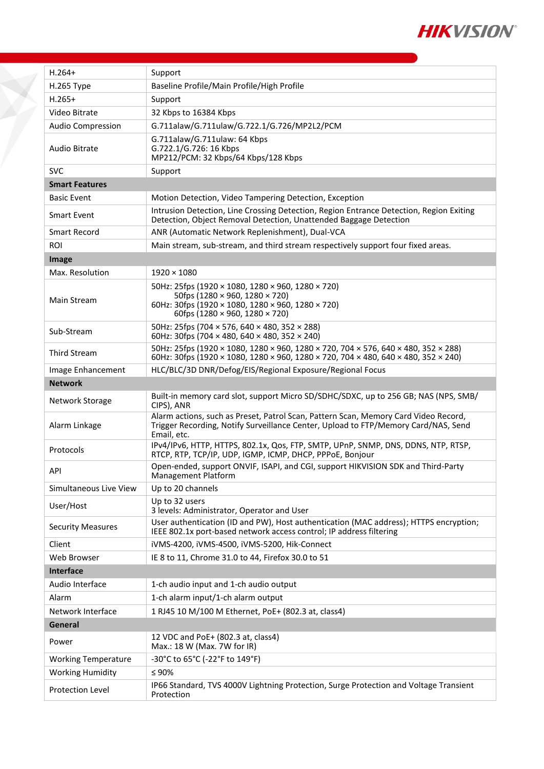

| $H.264+$                   | Support                                                                                                                                                                                  |  |
|----------------------------|------------------------------------------------------------------------------------------------------------------------------------------------------------------------------------------|--|
| H.265 Type                 | Baseline Profile/Main Profile/High Profile                                                                                                                                               |  |
| $H.265+$                   | Support                                                                                                                                                                                  |  |
| Video Bitrate              | 32 Kbps to 16384 Kbps                                                                                                                                                                    |  |
| <b>Audio Compression</b>   | G.711alaw/G.711ulaw/G.722.1/G.726/MP2L2/PCM                                                                                                                                              |  |
| <b>Audio Bitrate</b>       | G.711alaw/G.711ulaw: 64 Kbps<br>G.722.1/G.726: 16 Kbps<br>MP212/PCM: 32 Kbps/64 Kbps/128 Kbps                                                                                            |  |
| <b>SVC</b>                 | Support                                                                                                                                                                                  |  |
| <b>Smart Features</b>      |                                                                                                                                                                                          |  |
| <b>Basic Event</b>         | Motion Detection, Video Tampering Detection, Exception                                                                                                                                   |  |
| Smart Event                | Intrusion Detection, Line Crossing Detection, Region Entrance Detection, Region Exiting<br>Detection, Object Removal Detection, Unattended Baggage Detection                             |  |
| Smart Record               | ANR (Automatic Network Replenishment), Dual-VCA                                                                                                                                          |  |
| <b>ROI</b>                 | Main stream, sub-stream, and third stream respectively support four fixed areas.                                                                                                         |  |
| Image                      |                                                                                                                                                                                          |  |
| Max. Resolution            | $1920 \times 1080$                                                                                                                                                                       |  |
| Main Stream                | 50Hz: 25fps (1920 × 1080, 1280 × 960, 1280 × 720)<br>50fps (1280 × 960, 1280 × 720)<br>60Hz: 30fps (1920 × 1080, 1280 × 960, 1280 × 720)<br>60fps (1280 × 960, 1280 × 720)               |  |
| Sub-Stream                 | 50Hz: 25fps (704 × 576, 640 × 480, 352 × 288)<br>60Hz: 30fps (704 $\times$ 480, 640 $\times$ 480, 352 $\times$ 240)                                                                      |  |
| <b>Third Stream</b>        | 50Hz: 25fps (1920 × 1080, 1280 × 960, 1280 × 720, 704 × 576, 640 × 480, 352 × 288)<br>60Hz: 30fps (1920 × 1080, 1280 × 960, 1280 × 720, 704 × 480, 640 × 480, 352 × 240)                 |  |
| Image Enhancement          | HLC/BLC/3D DNR/Defog/EIS/Regional Exposure/Regional Focus                                                                                                                                |  |
| <b>Network</b>             |                                                                                                                                                                                          |  |
| Network Storage            | Built-in memory card slot, support Micro SD/SDHC/SDXC, up to 256 GB; NAS (NPS, SMB/<br>CIPS), ANR                                                                                        |  |
| Alarm Linkage              | Alarm actions, such as Preset, Patrol Scan, Pattern Scan, Memory Card Video Record,<br>Trigger Recording, Notify Surveillance Center, Upload to FTP/Memory Card/NAS, Send<br>Email, etc. |  |
| Protocols                  | IPv4/IPv6, HTTP, HTTPS, 802.1x, Qos, FTP, SMTP, UPnP, SNMP, DNS, DDNS, NTP, RTSP,<br>RTCP, RTP, TCP/IP, UDP, IGMP, ICMP, DHCP, PPPoE, Bonjour                                            |  |
| API                        | Open-ended, support ONVIF, ISAPI, and CGI, support HIKVISION SDK and Third-Party<br>Management Platform                                                                                  |  |
| Simultaneous Live View     | Up to 20 channels                                                                                                                                                                        |  |
| User/Host                  | Up to 32 users<br>3 levels: Administrator, Operator and User                                                                                                                             |  |
| <b>Security Measures</b>   | User authentication (ID and PW), Host authentication (MAC address); HTTPS encryption;<br>IEEE 802.1x port-based network access control; IP address filtering                             |  |
| Client                     | iVMS-4200, iVMS-4500, iVMS-5200, Hik-Connect                                                                                                                                             |  |
| Web Browser                | IE 8 to 11, Chrome 31.0 to 44, Firefox 30.0 to 51                                                                                                                                        |  |
| Interface                  |                                                                                                                                                                                          |  |
| Audio Interface            | 1-ch audio input and 1-ch audio output                                                                                                                                                   |  |
| Alarm                      | 1-ch alarm input/1-ch alarm output                                                                                                                                                       |  |
| Network Interface          | 1 RJ45 10 M/100 M Ethernet, PoE+ (802.3 at, class4)                                                                                                                                      |  |
| General                    |                                                                                                                                                                                          |  |
| Power                      | 12 VDC and PoE+ (802.3 at, class4)<br>Max.: 18 W (Max. 7W for IR)                                                                                                                        |  |
| <b>Working Temperature</b> | -30°C to 65°C (-22°F to 149°F)                                                                                                                                                           |  |
| <b>Working Humidity</b>    | $\leq 90\%$                                                                                                                                                                              |  |
| Protection Level           | IP66 Standard, TVS 4000V Lightning Protection, Surge Protection and Voltage Transient<br>Protection                                                                                      |  |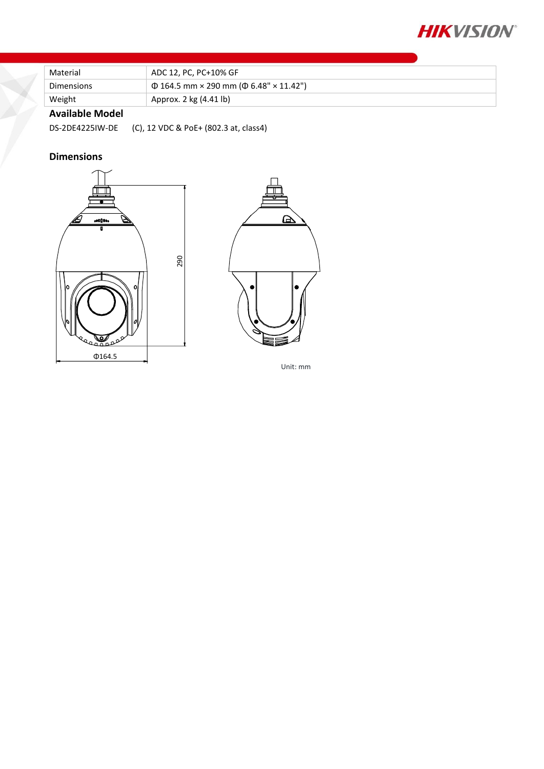

| Material          | ADC 12, PC, PC+10% GF                             |  |
|-------------------|---------------------------------------------------|--|
| <b>Dimensions</b> | $\Phi$ 164.5 mm × 290 mm ( $\Phi$ 6.48" × 11.42") |  |
| Weight            | Approx. 2 kg (4.41 lb)                            |  |
| .                 |                                                   |  |

### **Available Model**

DS-2DE4225IW-DE (C), 12 VDC & PoE+ (802.3 at, class4)

## **Dimensions**





Unit: mm